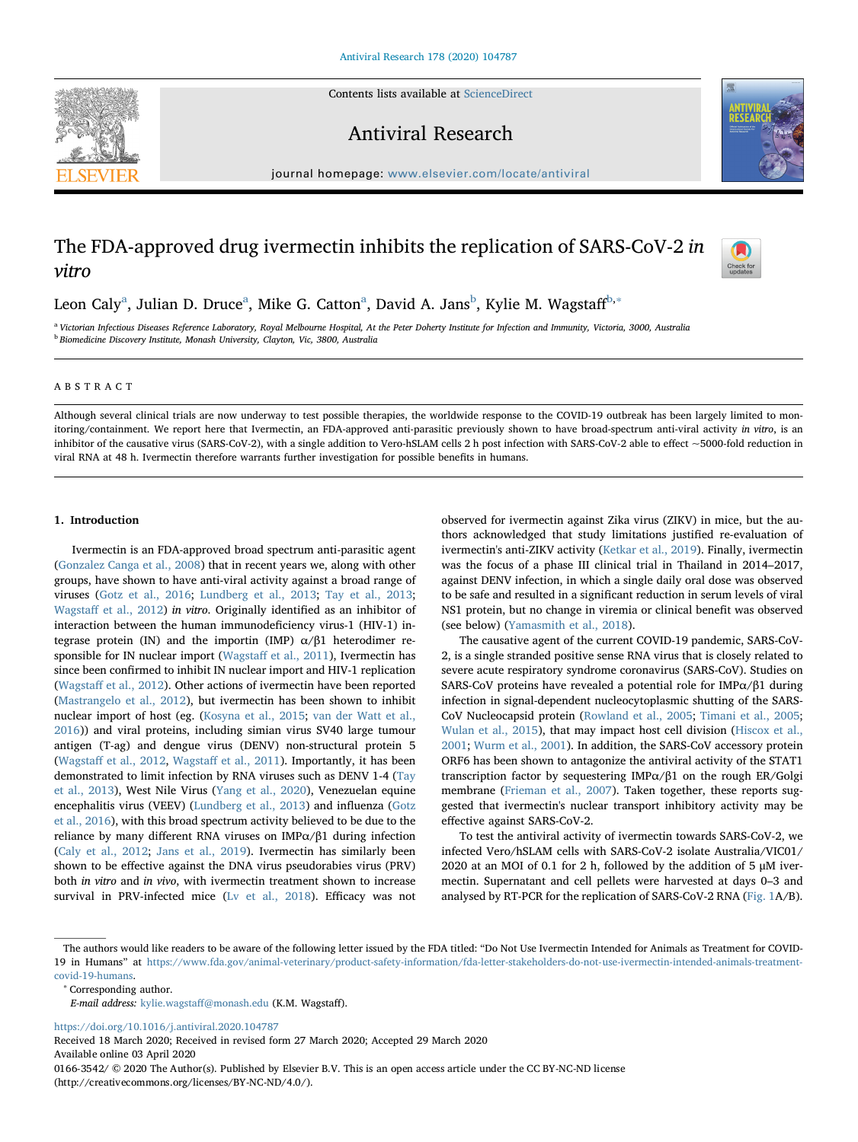Contents lists available at [ScienceDirect](http://www.sciencedirect.com/science/journal/01663542)





Antiviral Research

journal homepage: [www.elsevier.com/locate/antiviral](https://www.elsevier.com/locate/antiviral)

# The FDA-approved drug ivermectin inhibits the replication of SARS-CoV-2 in vitro



Leon C[a](#page-0-0)ly<sup>a</sup>, Julian D. Druce<sup>a</sup>, Mike G. Catton<sup>a</sup>, David A. Jans<sup>[b](#page-0-1)</sup>, Kylie M. Wagstaff<sup>[b,](#page-0-1)</sup>\*

<span id="page-0-1"></span><span id="page-0-0"></span><sup>a</sup> Victorian Infectious Diseases Reference Laboratory, Royal Melbourne Hospital, At the Peter Doherty Institute for Infection and Immunity, Victoria, 3000, Australia <sup>b</sup> Biomedicine Discovery Institute, Monash University, Clayton, Vic, 3800, Australia

## ABSTRACT

Although several clinical trials are now underway to test possible therapies, the worldwide response to the COVID-19 outbreak has been largely limited to monitoring/containment. We report here that Ivermectin, an FDA-approved anti-parasitic previously shown to have broad-spectrum anti-viral activity in vitro, is an inhibitor of the causative virus (SARS-CoV-2), with a single addition to Vero-hSLAM cells 2 h post infection with SARS-CoV-2 able to effect ~5000-fold reduction in viral RNA at 48 h. Ivermectin therefore warrants further investigation for possible benefits in humans.

#### 1. Introduction

Ivermectin is an FDA-approved broad spectrum anti-parasitic agent ([Gonzalez Canga et al., 2008](#page-3-0)) that in recent years we, along with other groups, have shown to have anti-viral activity against a broad range of viruses [\(Gotz et al., 2016;](#page-3-1) [Lundberg et al., 2013;](#page-3-2) [Tay et al., 2013](#page-3-3); Wagstaff [et al., 2012](#page-3-4)) in vitro. Originally identified as an inhibitor of interaction between the human immunodeficiency virus-1 (HIV-1) integrase protein (IN) and the importin (IMP)  $α/β1$  heterodimer responsible for IN nuclear import (Wagstaff [et al., 2011\)](#page-3-5), Ivermectin has since been confirmed to inhibit IN nuclear import and HIV-1 replication (Wagstaff [et al., 2012\)](#page-3-4). Other actions of ivermectin have been reported ([Mastrangelo et al., 2012](#page-3-6)), but ivermectin has been shown to inhibit nuclear import of host (eg. ([Kosyna et al., 2015;](#page-3-7) [van der Watt et al.,](#page-3-8) [2016\)](#page-3-8)) and viral proteins, including simian virus SV40 large tumour antigen (T-ag) and dengue virus (DENV) non-structural protein 5 (Wagstaff [et al., 2012](#page-3-4), Wagstaff [et al., 2011\)](#page-3-5). Importantly, it has been demonstrated to limit infection by RNA viruses such as DENV 1-4 ([Tay](#page-3-3) [et al., 2013](#page-3-3)), West Nile Virus [\(Yang et al., 2020\)](#page-3-9), Venezuelan equine encephalitis virus (VEEV) ([Lundberg et al., 2013](#page-3-2)) and influenza [\(Gotz](#page-3-1) [et al., 2016](#page-3-1)), with this broad spectrum activity believed to be due to the reliance by many different RNA viruses on IMPα/β1 during infection ([Caly et al., 2012;](#page-3-10) [Jans et al., 2019](#page-3-11)). Ivermectin has similarly been shown to be effective against the DNA virus pseudorabies virus (PRV) both in vitro and in vivo, with ivermectin treatment shown to increase survival in PRV-infected mice ([Lv et al., 2018](#page-3-12)). Efficacy was not observed for ivermectin against Zika virus (ZIKV) in mice, but the authors acknowledged that study limitations justified re-evaluation of ivermectin's anti-ZIKV activity ([Ketkar et al., 2019\)](#page-3-13). Finally, ivermectin was the focus of a phase III clinical trial in Thailand in 2014–2017, against DENV infection, in which a single daily oral dose was observed to be safe and resulted in a significant reduction in serum levels of viral NS1 protein, but no change in viremia or clinical benefit was observed (see below) [\(Yamasmith et al., 2018](#page-3-14)).

The causative agent of the current COVID-19 pandemic, SARS-CoV-2, is a single stranded positive sense RNA virus that is closely related to severe acute respiratory syndrome coronavirus (SARS-CoV). Studies on SARS-CoV proteins have revealed a potential role for IMPα/β1 during infection in signal-dependent nucleocytoplasmic shutting of the SARS-CoV Nucleocapsid protein [\(Rowland et al., 2005;](#page-3-15) [Timani et al., 2005](#page-3-16); [Wulan et al., 2015\)](#page-3-17), that may impact host cell division ([Hiscox et al.,](#page-3-18) [2001;](#page-3-18) [Wurm et al., 2001](#page-3-19)). In addition, the SARS-CoV accessory protein ORF6 has been shown to antagonize the antiviral activity of the STAT1 transcription factor by sequestering IMPα/β1 on the rough ER/Golgi membrane [\(Frieman et al., 2007](#page-3-20)). Taken together, these reports suggested that ivermectin's nuclear transport inhibitory activity may be effective against SARS-CoV-2.

To test the antiviral activity of ivermectin towards SARS-CoV-2, we infected Vero/hSLAM cells with SARS-CoV-2 isolate Australia/VIC01/ 2020 at an MOI of 0.1 for 2 h, followed by the addition of 5 μM ivermectin. Supernatant and cell pellets were harvested at days 0–3 and analysed by RT-PCR for the replication of SARS-CoV-2 RNA ([Fig. 1](#page-1-0)A/B).

<span id="page-0-2"></span><sup>∗</sup> Corresponding author.

<https://doi.org/10.1016/j.antiviral.2020.104787>

Received 18 March 2020; Received in revised form 27 March 2020; Accepted 29 March 2020 Available online 03 April 2020

0166-3542/ © 2020 The Author(s). Published by Elsevier B.V. This is an open access article under the CC BY-NC-ND license (http://creativecommons.org/licenses/BY-NC-ND/4.0/).

The authors would like readers to be aware of the following letter issued by the FDA titled: "Do Not Use Ivermectin Intended for Animals as Treatment for COVID-19 in Humans" at [https://www.fda.gov/animal-veterinary/product-safety-information/fda-letter-stakeholders-do-not-use-ivermectin-intended-animals-treatment](https://www.fda.gov/animal-veterinary/product-safety-information/fda-letter-stakeholders-do-not-use-ivermectin-intended-animals-treatment-covid-19-humans)[covid-19-humans](https://www.fda.gov/animal-veterinary/product-safety-information/fda-letter-stakeholders-do-not-use-ivermectin-intended-animals-treatment-covid-19-humans).

E-mail address: kylie.wagstaff[@monash.edu](mailto:kylie.wagstaff@monash.edu) (K.M. Wagstaff).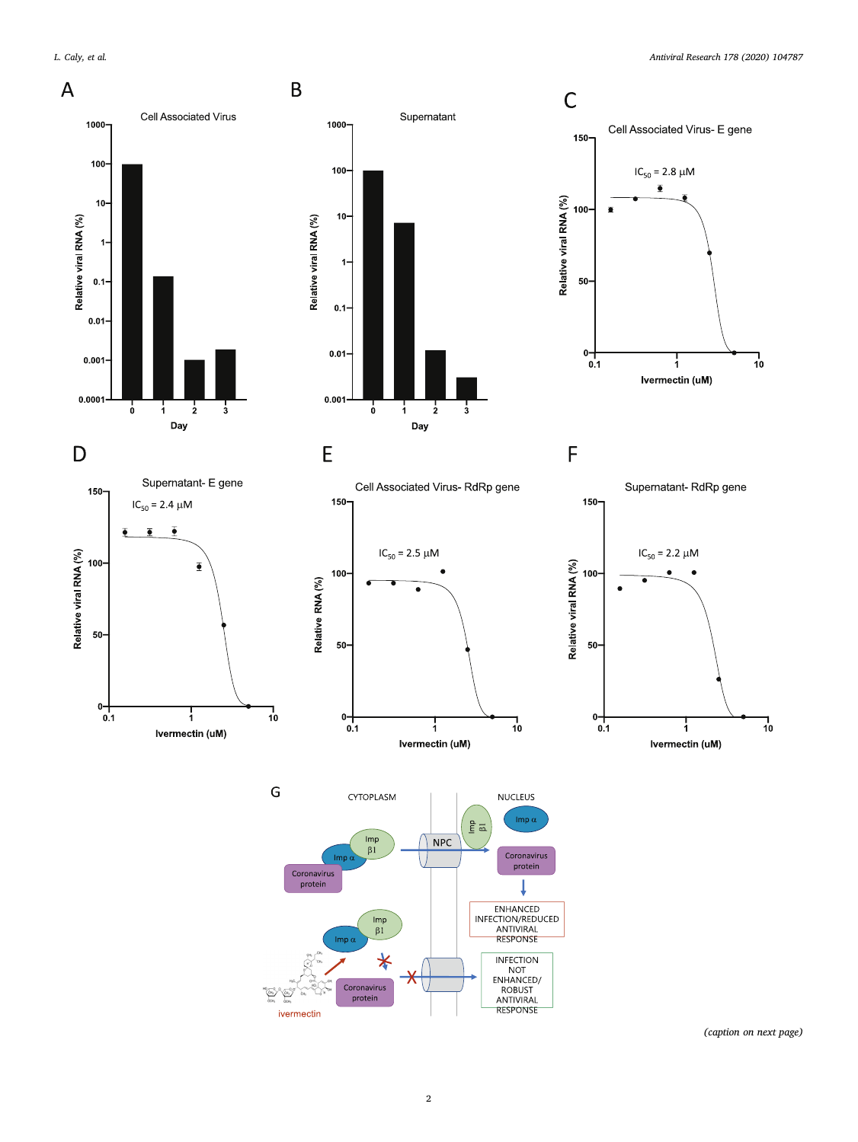<span id="page-1-0"></span>

 $\begin{array}{c}\nIm p \\
\beta 1\n\end{array}$ 

 $\ast$ 

Coronavirus<br>protein

 $Imp c$ 

 $\sum_{i=1}^{\infty}$  $\sqrt{2\pi}$ ivermectin

T ENHANCED<br>INFECTION/REDUCED

ANTIVIRAL<br>ANTIVIRAL<br>RESPONSE

**INFECTION** 

NOT<br>
NOT<br>
ENHANCED/<br>
ROBUST<br>
ANTIVIRAL<br>
RESPONSE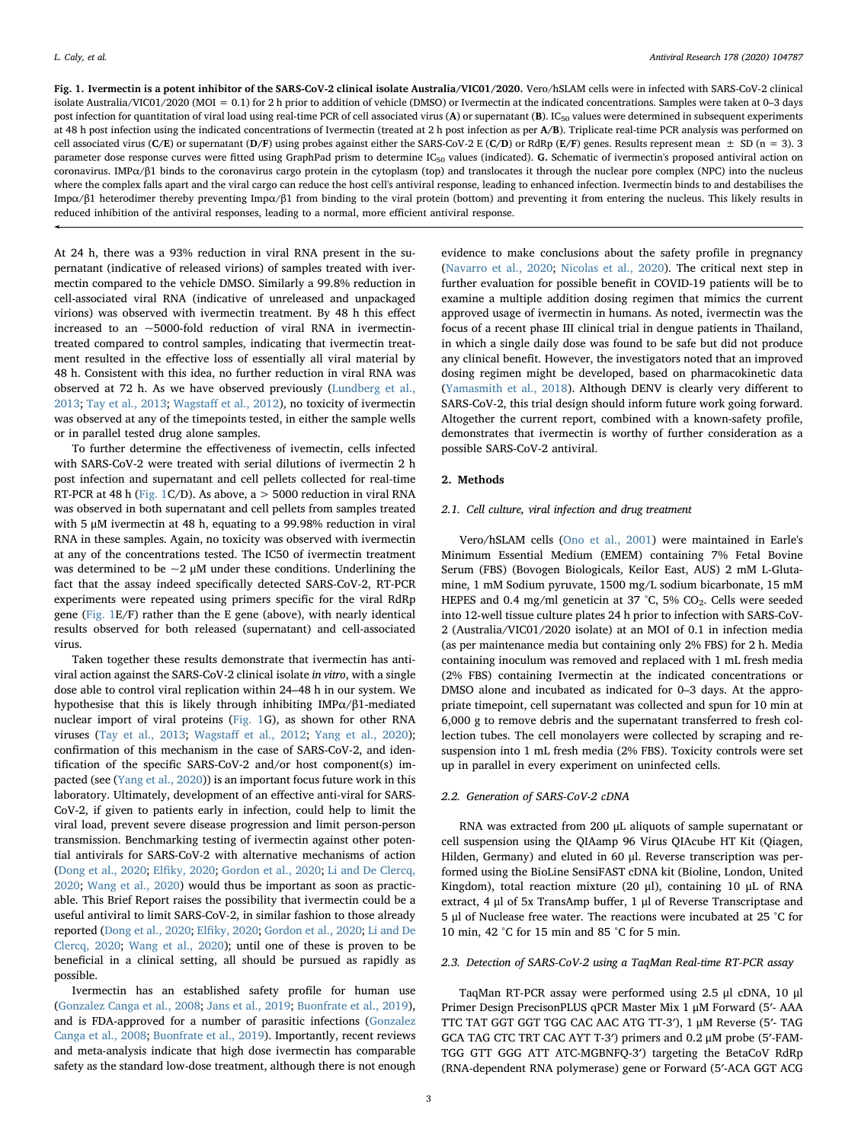Fig. 1. Ivermectin is a potent inhibitor of the SARS-CoV-2 clinical isolate Australia/VIC01/2020. Vero/hSLAM cells were in infected with SARS-CoV-2 clinical isolate Australia/VIC01/2020 (MOI = 0.1) for 2 h prior to addition of vehicle (DMSO) or Ivermectin at the indicated concentrations. Samples were taken at 0-3 days post infection for quantitation of viral load using real-time PCR of cell associated virus (A) or supernatant (B).  $IC_{50}$  values were determined in subsequent experiments at 48 h post infection using the indicated concentrations of Ivermectin (treated at 2 h post infection as per A/B). Triplicate real-time PCR analysis was performed on cell associated virus (C/E) or supernatant (D/F) using probes against either the SARS-CoV-2 E (C/D) or RdRp (E/F) genes. Results represent mean  $\pm$  SD (n = 3). 3 parameter dose response curves were fitted using GraphPad prism to determine IC<sub>50</sub> values (indicated). G. Schematic of ivermectin's proposed antiviral action on coronavirus. IMP $\alpha/\beta$ 1 binds to the coronavirus cargo protein in the cytoplasm (top) and translocates it through the nuclear pore complex (NPC) into the nucleus where the complex falls apart and the viral cargo can reduce the host cell's antiviral response, leading to enhanced infection. Ivermectin binds to and destabilises the Impα/β1 heterodimer thereby preventing Impα/β1 from binding to the viral protein (bottom) and preventing it from entering the nucleus. This likely results in reduced inhibition of the antiviral responses, leading to a normal, more efficient antiviral response.

At 24 h, there was a 93% reduction in viral RNA present in the supernatant (indicative of released virions) of samples treated with ivermectin compared to the vehicle DMSO. Similarly a 99.8% reduction in cell-associated viral RNA (indicative of unreleased and unpackaged virions) was observed with ivermectin treatment. By 48 h this effect increased to an ~5000-fold reduction of viral RNA in ivermectintreated compared to control samples, indicating that ivermectin treatment resulted in the effective loss of essentially all viral material by 48 h. Consistent with this idea, no further reduction in viral RNA was observed at 72 h. As we have observed previously ([Lundberg et al.,](#page-3-2) [2013;](#page-3-2) [Tay et al., 2013;](#page-3-3) Wagstaff [et al., 2012\)](#page-3-4), no toxicity of ivermectin was observed at any of the timepoints tested, in either the sample wells or in parallel tested drug alone samples.

To further determine the effectiveness of ivemectin, cells infected with SARS-CoV-2 were treated with serial dilutions of ivermectin 2 h post infection and supernatant and cell pellets collected for real-time RT-PCR at 48 h ([Fig. 1](#page-1-0)C/D). As above, a > 5000 reduction in viral RNA was observed in both supernatant and cell pellets from samples treated with 5 μM ivermectin at 48 h, equating to a 99.98% reduction in viral RNA in these samples. Again, no toxicity was observed with ivermectin at any of the concentrations tested. The IC50 of ivermectin treatment was determined to be  $\sim$ 2  $\mu$ M under these conditions. Underlining the fact that the assay indeed specifically detected SARS-CoV-2, RT-PCR experiments were repeated using primers specific for the viral RdRp gene ([Fig. 1](#page-1-0)E/F) rather than the E gene (above), with nearly identical results observed for both released (supernatant) and cell-associated virus.

Taken together these results demonstrate that ivermectin has antiviral action against the SARS-CoV-2 clinical isolate in vitro, with a single dose able to control viral replication within 24–48 h in our system. We hypothesise that this is likely through inhibiting IMPα/β1-mediated nuclear import of viral proteins ([Fig. 1](#page-1-0)G), as shown for other RNA viruses ([Tay et al., 2013;](#page-3-3) Wagstaff [et al., 2012;](#page-3-4) [Yang et al., 2020](#page-3-9)); confirmation of this mechanism in the case of SARS-CoV-2, and identification of the specific SARS-CoV-2 and/or host component(s) impacted (see ([Yang et al., 2020\)](#page-3-9)) is an important focus future work in this laboratory. Ultimately, development of an effective anti-viral for SARS-CoV-2, if given to patients early in infection, could help to limit the viral load, prevent severe disease progression and limit person-person transmission. Benchmarking testing of ivermectin against other potential antivirals for SARS-CoV-2 with alternative mechanisms of action ([Dong et al., 2020;](#page-3-21) Elfi[ky, 2020](#page-3-22); Gordon [et al., 2020](#page-3-23); [Li and De Clercq,](#page-3-24) [2020;](#page-3-24) [Wang et al., 2020\)](#page-3-25) would thus be important as soon as practicable. This Brief Report raises the possibility that ivermectin could be a useful antiviral to limit SARS-CoV-2, in similar fashion to those already reported ([Dong et al., 2020;](#page-3-21) Elfi[ky, 2020](#page-3-22); [Gordon et al., 2020](#page-3-23); [Li and De](#page-3-24) [Clercq, 2020;](#page-3-24) [Wang et al., 2020\)](#page-3-25); until one of these is proven to be beneficial in a clinical setting, all should be pursued as rapidly as possible.

Ivermectin has an established safety profile for human use ([Gonzalez Canga et al., 2008](#page-3-0); [Jans et al., 2019;](#page-3-11) [Buonfrate et al., 2019](#page-3-26)), and is FDA-approved for a number of parasitic infections ([Gonzalez](#page-3-0) [Canga et al., 2008;](#page-3-0) [Buonfrate et al., 2019](#page-3-26)). Importantly, recent reviews and meta-analysis indicate that high dose ivermectin has comparable safety as the standard low-dose treatment, although there is not enough

evidence to make conclusions about the safety profile in pregnancy ([Navarro et al., 2020;](#page-3-27) [Nicolas et al., 2020](#page-3-28)). The critical next step in further evaluation for possible benefit in COVID-19 patients will be to examine a multiple addition dosing regimen that mimics the current approved usage of ivermectin in humans. As noted, ivermectin was the focus of a recent phase III clinical trial in dengue patients in Thailand, in which a single daily dose was found to be safe but did not produce any clinical benefit. However, the investigators noted that an improved dosing regimen might be developed, based on pharmacokinetic data ([Yamasmith et al., 2018](#page-3-14)). Although DENV is clearly very different to SARS-CoV-2, this trial design should inform future work going forward. Altogether the current report, combined with a known-safety profile, demonstrates that ivermectin is worthy of further consideration as a possible SARS-CoV-2 antiviral.

### 2. Methods

### 2.1. Cell culture, viral infection and drug treatment

Vero/hSLAM cells [\(Ono et al., 2001\)](#page-3-29) were maintained in Earle's Minimum Essential Medium (EMEM) containing 7% Fetal Bovine Serum (FBS) (Bovogen Biologicals, Keilor East, AUS) 2 mM L-Glutamine, 1 mM Sodium pyruvate, 1500 mg/L sodium bicarbonate, 15 mM HEPES and 0.4 mg/ml geneticin at 37 °C, 5% CO<sub>2</sub>. Cells were seeded into 12-well tissue culture plates 24 h prior to infection with SARS-CoV-2 (Australia/VIC01/2020 isolate) at an MOI of 0.1 in infection media (as per maintenance media but containing only 2% FBS) for 2 h. Media containing inoculum was removed and replaced with 1 mL fresh media (2% FBS) containing Ivermectin at the indicated concentrations or DMSO alone and incubated as indicated for 0–3 days. At the appropriate timepoint, cell supernatant was collected and spun for 10 min at 6,000 g to remove debris and the supernatant transferred to fresh collection tubes. The cell monolayers were collected by scraping and resuspension into 1 mL fresh media (2% FBS). Toxicity controls were set up in parallel in every experiment on uninfected cells.

### 2.2. Generation of SARS-CoV-2 cDNA

RNA was extracted from 200 μL aliquots of sample supernatant or cell suspension using the QIAamp 96 Virus QIAcube HT Kit (Qiagen, Hilden, Germany) and eluted in 60 μl. Reverse transcription was performed using the BioLine SensiFAST cDNA kit (Bioline, London, United Kingdom), total reaction mixture (20 μl), containing 10 μL of RNA extract, 4 μl of 5x TransAmp buffer, 1 μl of Reverse Transcriptase and 5 μl of Nuclease free water. The reactions were incubated at 25 °C for 10 min, 42 °C for 15 min and 85 °C for 5 min.

## 2.3. Detection of SARS-CoV-2 using a TaqMan Real-time RT-PCR assay

TaqMan RT-PCR assay were performed using 2.5 μl cDNA, 10 μl Primer Design PrecisonPLUS qPCR Master Mix 1 μM Forward (5′- AAA TTC TAT GGT GGT TGG CAC AAC ATG TT-3′), 1 μM Reverse (5′- TAG GCA TAG CTC TRT CAC AYT T-3′) primers and 0.2 μM probe (5′-FAM-TGG GTT GGG ATT ATC-MGBNFQ-3′) targeting the BetaCoV RdRp (RNA-dependent RNA polymerase) gene or Forward (5′-ACA GGT ACG